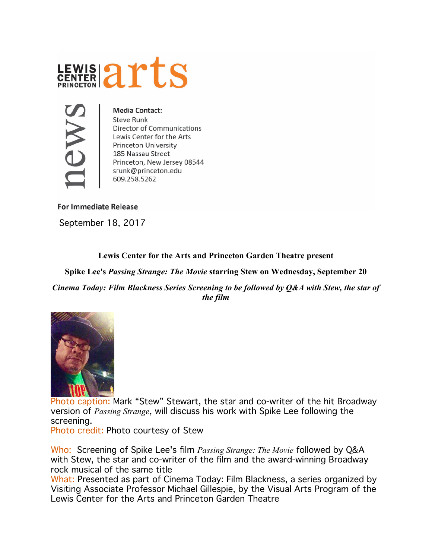



**Media Contact: Steve Runk Director of Communications** Lewis Center for the Arts **Princeton University** 185 Nassau Street Princeton, New Jersey 08544 srunk@princeton.edu 609.258.5262

**For Immediate Release** 

September 18, 2017

## **Lewis Center for the Arts and Princeton Garden Theatre present**

**Spike Lee's** *Passing Strange: The Movie* **starring Stew on Wednesday, September 20** 

*Cinema Today: Film Blackness Series Screening to be followed by Q&A with Stew, the star of the film*



Photo caption: Mark "Stew" Stewart, the star and co-writer of the hit Broadway version of *Passing Strange*, will discuss his work with Spike Lee following the screening.

Photo credit: Photo courtesy of Stew

Who: Screening of Spike Lee's film *Passing Strange: The Movie* followed by Q&A with Stew, the star and co-writer of the film and the award-winning Broadway rock musical of the same title

What: Presented as part of Cinema Today: Film Blackness, a series organized by Visiting Associate Professor Michael Gillespie, by the Visual Arts Program of the Lewis Center for the Arts and Princeton Garden Theatre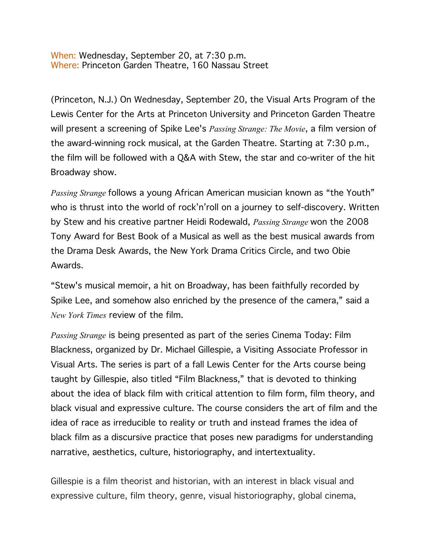When: Wednesday, September 20, at 7:30 p.m. Where: Princeton Garden Theatre, 160 Nassau Street

(Princeton, N.J.) On Wednesday, September 20, the Visual Arts Program of the Lewis Center for the Arts at Princeton University and Princeton Garden Theatre will present a screening of Spike Lee's *Passing Strange: The Movie*, a film version of the award-winning rock musical, at the Garden Theatre. Starting at 7:30 p.m., the film will be followed with a Q&A with Stew, the star and co-writer of the hit Broadway show.

*Passing Strange* follows a young African American musician known as "the Youth" who is thrust into the world of rock'n'roll on a journey to self-discovery. Written by Stew and his creative partner Heidi Rodewald, *Passing Strange* won the 2008 Tony Award for Best Book of a Musical as well as the best musical awards from the Drama Desk Awards, the New York Drama Critics Circle, and two Obie Awards.

"Stew's musical memoir, a hit on Broadway, has been faithfully recorded by Spike Lee, and somehow also enriched by the presence of the camera," said a *New York Times* review of the film.

*Passing Strange* is being presented as part of the series Cinema Today: Film Blackness, organized by Dr. Michael Gillespie, a Visiting Associate Professor in Visual Arts. The series is part of a fall Lewis Center for the Arts course being taught by Gillespie, also titled "Film Blackness," that is devoted to thinking about the idea of black film with critical attention to film form, film theory, and black visual and expressive culture. The course considers the art of film and the idea of race as irreducible to reality or truth and instead frames the idea of black film as a discursive practice that poses new paradigms for understanding narrative, aesthetics, culture, historiography, and intertextuality.

Gillespie is a film theorist and historian, with an interest in black visual and expressive culture, film theory, genre, visual historiography, global cinema,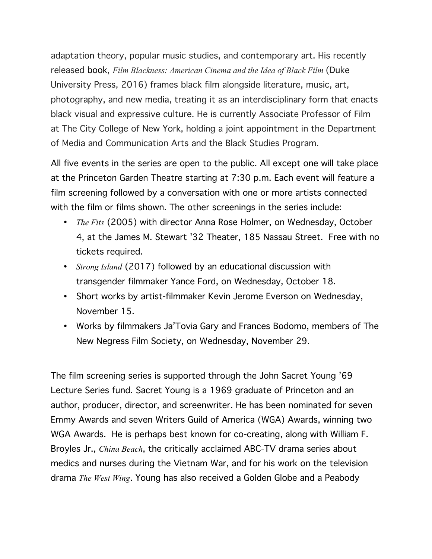adaptation theory, popular music studies, and contemporary art. His recently released [book](https://www.dukeupress.edu/film-blackness), *Film Blackness: American Cinema and the Idea of Black Film* (Duke University Press, 2016) frames black film alongside literature, music, art, photography, and new media, treating it as an interdisciplinary form that enacts black visual and expressive culture. He is currently Associate Professor of Film at The City College of New York, holding a joint appointment in the Department of Media and Communication Arts and the Black Studies Program.

All five events in the series are open to the public. All except one will take place at the Princeton Garden Theatre starting at 7:30 p.m. Each event will feature a film screening followed by a conversation with one or more artists connected with the film or films shown. The other screenings in the series include:

- *The Fits* (2005) with director Anna Rose Holmer, on Wednesday, October 4, at the James M. Stewart '32 Theater, 185 Nassau Street. Free with no tickets required.
- *Strong Island* (2017) followed by an educational discussion with transgender filmmaker Yance Ford, on Wednesday, October 18.
- Short works by artist-filmmaker Kevin Jerome Everson on Wednesday, November 15.
- Works by filmmakers Ja'Tovia Gary and Frances Bodomo, members of The New Negress Film Society, on Wednesday, November 29.

The film screening series is supported through the John Sacret Young '69 Lecture Series fund. Sacret Young is a 1969 graduate of Princeton and an author, producer, director, and screenwriter. He has been nominated for seven Emmy Awards and seven Writers Guild of America (WGA) Awards, winning two WGA Awards. He is perhaps best known for co-creating, along with William F. Broyles Jr., *China Beach*, the critically acclaimed ABC-TV drama series about medics and nurses during the Vietnam War, and for his work on the television drama *The West Wing*. Young has also received a Golden Globe and a Peabody